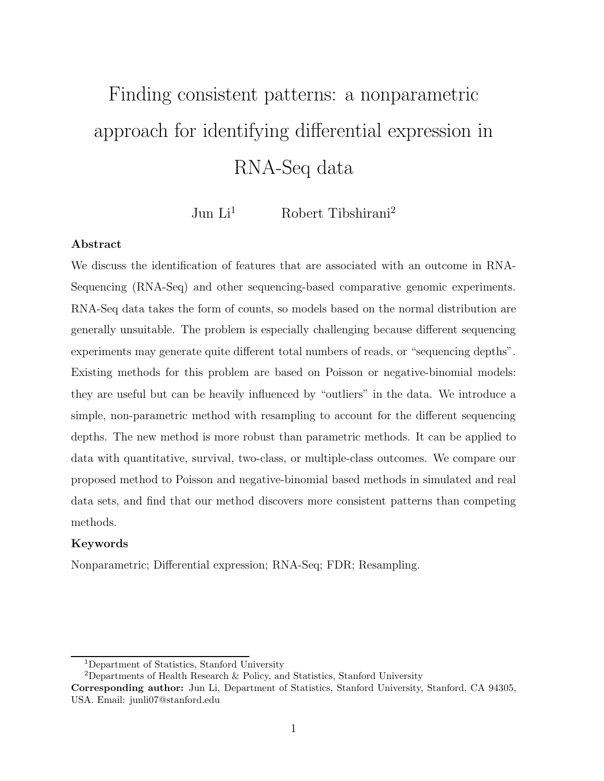# Finding consistent patterns: a nonparametric approach for identifying differential expression in RNA-Seq data

Jun  $Li<sup>1</sup>$  Robert Tibshirani<sup>2</sup>

#### Abstract

We discuss the identification of features that are associated with an outcome in RNA-Sequencing (RNA-Seq) and other sequencing-based comparative genomic experiments. RNA-Seq data takes the form of counts, so models based on the normal distribution are generally unsuitable. The problem is especially challenging because different sequencing experiments may generate quite different total numbers of reads, or "sequencing depths". Existing methods for this problem are based on Poisson or negative-binomial models: they are useful but can be heavily influenced by "outliers" in the data. We introduce a simple, non-parametric method with resampling to account for the different sequencing depths. The new method is more robust than parametric methods. It can be applied to data with quantitative, survival, two-class, or multiple-class outcomes. We compare our proposed method to Poisson and negative-binomial based methods in simulated and real data sets, and find that our method discovers more consistent patterns than competing methods.

#### Keywords

Nonparametric; Differential expression; RNA-Seq; FDR; Resampling.

<sup>1</sup>Department of Statistics, Stanford University

<sup>&</sup>lt;sup>2</sup>Departments of Health Research  $\&$  Policy, and Statistics, Stanford University

Corresponding author: Jun Li, Department of Statistics, Stanford University, Stanford, CA 94305, USA. Email: junli07@stanford.edu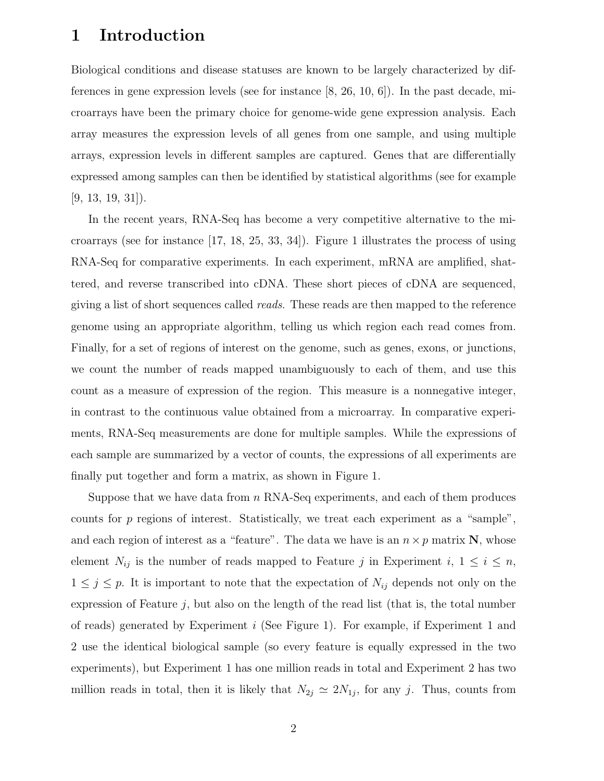## 1 Introduction

Biological conditions and disease statuses are known to be largely characterized by differences in gene expression levels (see for instance [8, 26, 10, 6]). In the past decade, microarrays have been the primary choice for genome-wide gene expression analysis. Each array measures the expression levels of all genes from one sample, and using multiple arrays, expression levels in different samples are captured. Genes that are differentially expressed among samples can then be identified by statistical algorithms (see for example  $[9, 13, 19, 31]$ .

In the recent years, RNA-Seq has become a very competitive alternative to the microarrays (see for instance [17, 18, 25, 33, 34]). Figure 1 illustrates the process of using RNA-Seq for comparative experiments. In each experiment, mRNA are amplified, shattered, and reverse transcribed into cDNA. These short pieces of cDNA are sequenced, giving a list of short sequences called reads. These reads are then mapped to the reference genome using an appropriate algorithm, telling us which region each read comes from. Finally, for a set of regions of interest on the genome, such as genes, exons, or junctions, we count the number of reads mapped unambiguously to each of them, and use this count as a measure of expression of the region. This measure is a nonnegative integer, in contrast to the continuous value obtained from a microarray. In comparative experiments, RNA-Seq measurements are done for multiple samples. While the expressions of each sample are summarized by a vector of counts, the expressions of all experiments are finally put together and form a matrix, as shown in Figure 1.

Suppose that we have data from  $n$  RNA-Seq experiments, and each of them produces counts for p regions of interest. Statistically, we treat each experiment as a "sample", and each region of interest as a "feature". The data we have is an  $n \times p$  matrix N, whose element  $N_{ij}$  is the number of reads mapped to Feature j in Experiment i,  $1 \leq i \leq n$ ,  $1 \leq j \leq p$ . It is important to note that the expectation of  $N_{ij}$  depends not only on the expression of Feature  $j$ , but also on the length of the read list (that is, the total number of reads) generated by Experiment i (See Figure 1). For example, if Experiment 1 and 2 use the identical biological sample (so every feature is equally expressed in the two experiments), but Experiment 1 has one million reads in total and Experiment 2 has two million reads in total, then it is likely that  $N_{2j} \simeq 2N_{1j}$ , for any j. Thus, counts from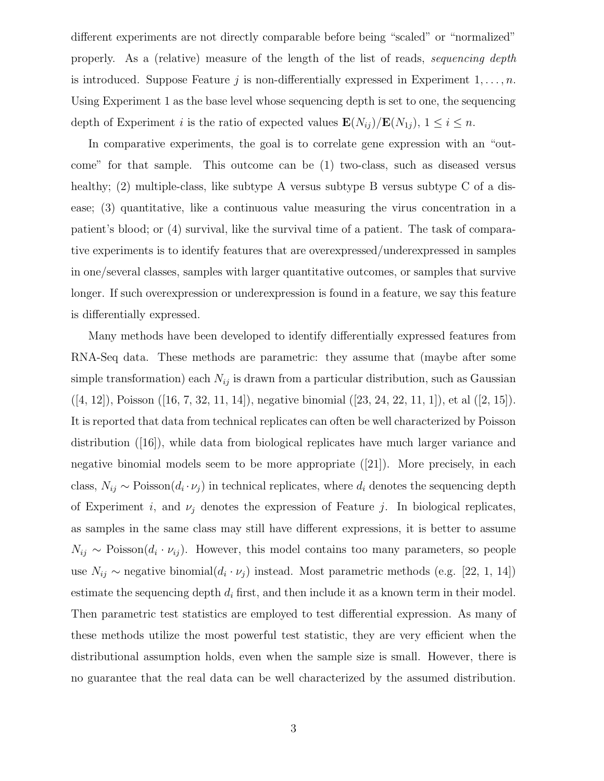different experiments are not directly comparable before being "scaled" or "normalized" properly. As a (relative) measure of the length of the list of reads, sequencing depth is introduced. Suppose Feature  $j$  is non-differentially expressed in Experiment  $1, \ldots, n$ . Using Experiment 1 as the base level whose sequencing depth is set to one, the sequencing depth of Experiment i is the ratio of expected values  $\mathbf{E}(N_{ij})/\mathbf{E}(N_{1j}), 1 \leq i \leq n$ .

In comparative experiments, the goal is to correlate gene expression with an "outcome" for that sample. This outcome can be (1) two-class, such as diseased versus healthy; (2) multiple-class, like subtype A versus subtype B versus subtype C of a disease; (3) quantitative, like a continuous value measuring the virus concentration in a patient's blood; or (4) survival, like the survival time of a patient. The task of comparative experiments is to identify features that are overexpressed/underexpressed in samples in one/several classes, samples with larger quantitative outcomes, or samples that survive longer. If such overexpression or underexpression is found in a feature, we say this feature is differentially expressed.

Many methods have been developed to identify differentially expressed features from RNA-Seq data. These methods are parametric: they assume that (maybe after some simple transformation) each  $N_{ij}$  is drawn from a particular distribution, such as Gaussian  $([4, 12]),$  Poisson  $([16, 7, 32, 11, 14]),$  negative binomial  $([23, 24, 22, 11, 1]),$  et al  $([2, 15]).$ It is reported that data from technical replicates can often be well characterized by Poisson distribution ([16]), while data from biological replicates have much larger variance and negative binomial models seem to be more appropriate ([21]). More precisely, in each class,  $N_{ij} \sim \text{Poisson}(d_i \cdot \nu_j)$  in technical replicates, where  $d_i$  denotes the sequencing depth of Experiment i, and  $\nu_i$  denotes the expression of Feature j. In biological replicates, as samples in the same class may still have different expressions, it is better to assume  $N_{ij} \sim \text{Poisson}(d_i \cdot \nu_{ij})$ . However, this model contains too many parameters, so people use  $N_{ij} \sim$  negative binomial $(d_i \cdot \nu_j)$  instead. Most parametric methods (e.g. [22, 1, 14]) estimate the sequencing depth  $d_i$  first, and then include it as a known term in their model. Then parametric test statistics are employed to test differential expression. As many of these methods utilize the most powerful test statistic, they are very efficient when the distributional assumption holds, even when the sample size is small. However, there is no guarantee that the real data can be well characterized by the assumed distribution.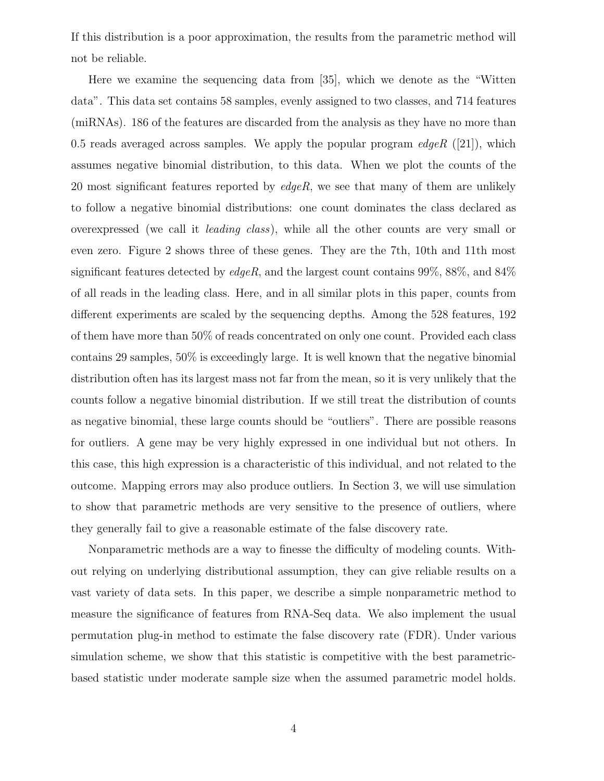If this distribution is a poor approximation, the results from the parametric method will not be reliable.

Here we examine the sequencing data from [35], which we denote as the "Witten data". This data set contains 58 samples, evenly assigned to two classes, and 714 features (miRNAs). 186 of the features are discarded from the analysis as they have no more than 0.5 reads averaged across samples. We apply the popular program  $edge R$  ([21]), which assumes negative binomial distribution, to this data. When we plot the counts of the 20 most significant features reported by  $edge$ , we see that many of them are unlikely to follow a negative binomial distributions: one count dominates the class declared as overexpressed (we call it leading class), while all the other counts are very small or even zero. Figure 2 shows three of these genes. They are the 7th, 10th and 11th most significant features detected by  $\text{edge}R$ , and the largest count contains 99%, 88%, and 84% of all reads in the leading class. Here, and in all similar plots in this paper, counts from different experiments are scaled by the sequencing depths. Among the 528 features, 192 of them have more than 50% of reads concentrated on only one count. Provided each class contains 29 samples, 50% is exceedingly large. It is well known that the negative binomial distribution often has its largest mass not far from the mean, so it is very unlikely that the counts follow a negative binomial distribution. If we still treat the distribution of counts as negative binomial, these large counts should be "outliers". There are possible reasons for outliers. A gene may be very highly expressed in one individual but not others. In this case, this high expression is a characteristic of this individual, and not related to the outcome. Mapping errors may also produce outliers. In Section 3, we will use simulation to show that parametric methods are very sensitive to the presence of outliers, where they generally fail to give a reasonable estimate of the false discovery rate.

Nonparametric methods are a way to finesse the difficulty of modeling counts. Without relying on underlying distributional assumption, they can give reliable results on a vast variety of data sets. In this paper, we describe a simple nonparametric method to measure the significance of features from RNA-Seq data. We also implement the usual permutation plug-in method to estimate the false discovery rate (FDR). Under various simulation scheme, we show that this statistic is competitive with the best parametricbased statistic under moderate sample size when the assumed parametric model holds.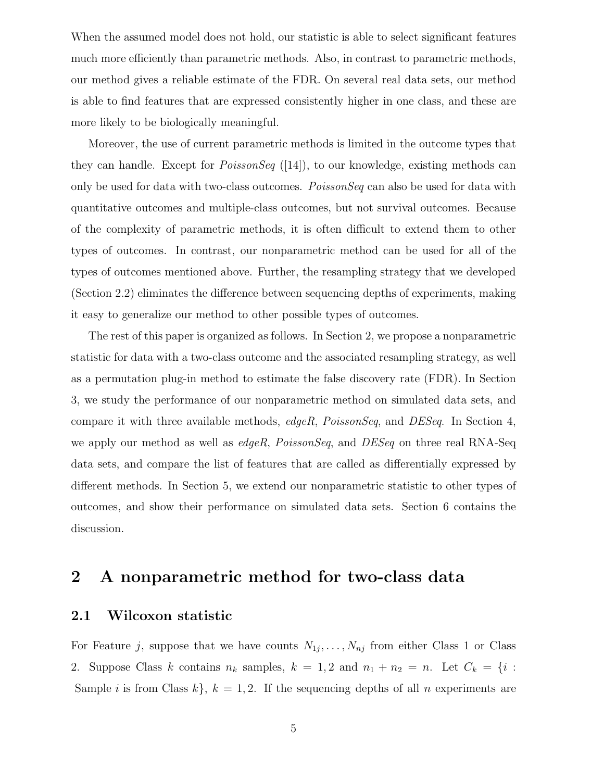When the assumed model does not hold, our statistic is able to select significant features much more efficiently than parametric methods. Also, in contrast to parametric methods, our method gives a reliable estimate of the FDR. On several real data sets, our method is able to find features that are expressed consistently higher in one class, and these are more likely to be biologically meaningful.

Moreover, the use of current parametric methods is limited in the outcome types that they can handle. Except for  $PoissonSeq$  ([14]), to our knowledge, existing methods can only be used for data with two-class outcomes. *PoissonSeq* can also be used for data with quantitative outcomes and multiple-class outcomes, but not survival outcomes. Because of the complexity of parametric methods, it is often difficult to extend them to other types of outcomes. In contrast, our nonparametric method can be used for all of the types of outcomes mentioned above. Further, the resampling strategy that we developed (Section 2.2) eliminates the difference between sequencing depths of experiments, making it easy to generalize our method to other possible types of outcomes.

The rest of this paper is organized as follows. In Section 2, we propose a nonparametric statistic for data with a two-class outcome and the associated resampling strategy, as well as a permutation plug-in method to estimate the false discovery rate (FDR). In Section 3, we study the performance of our nonparametric method on simulated data sets, and compare it with three available methods, edgeR, PoissonSeq, and DESeq. In Section 4, we apply our method as well as *edgeR*, *PoissonSeq*, and *DESeq* on three real RNA-Seq data sets, and compare the list of features that are called as differentially expressed by different methods. In Section 5, we extend our nonparametric statistic to other types of outcomes, and show their performance on simulated data sets. Section 6 contains the discussion.

# 2 A nonparametric method for two-class data

#### 2.1 Wilcoxon statistic

For Feature j, suppose that we have counts  $N_{1j}, \ldots, N_{nj}$  from either Class 1 or Class 2. Suppose Class k contains  $n_k$  samples,  $k = 1, 2$  and  $n_1 + n_2 = n$ . Let  $C_k = \{i :$ Sample *i* is from Class  $k$ ,  $k = 1, 2$ . If the sequencing depths of all *n* experiments are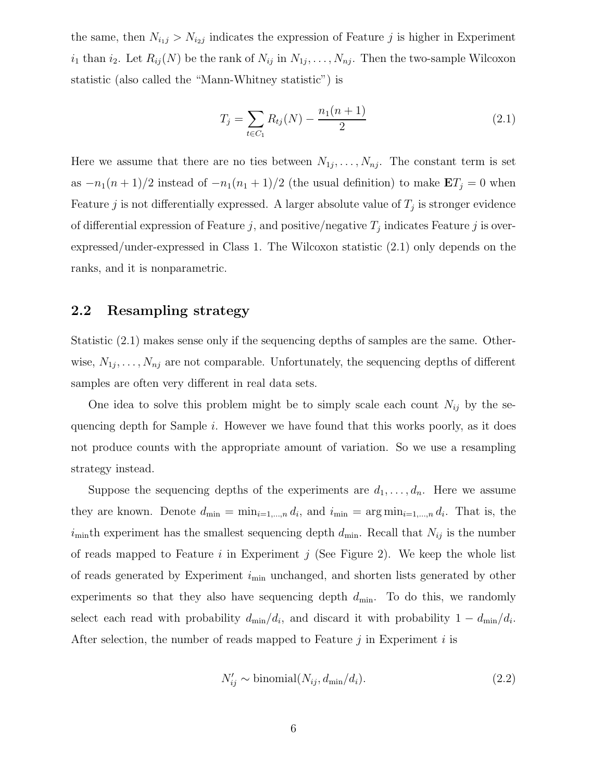the same, then  $N_{i,j} > N_{i,j}$  indicates the expression of Feature j is higher in Experiment  $i_1$  than  $i_2$ . Let  $R_{ij}(N)$  be the rank of  $N_{ij}$  in  $N_{1j}, \ldots, N_{nj}$ . Then the two-sample Wilcoxon statistic (also called the "Mann-Whitney statistic") is

$$
T_j = \sum_{t \in C_1} R_{tj}(N) - \frac{n_1(n+1)}{2} \tag{2.1}
$$

Here we assume that there are no ties between  $N_{1j}, \ldots, N_{nj}$ . The constant term is set as  $-n_1(n+1)/2$  instead of  $-n_1(n_1+1)/2$  (the usual definition) to make  $\mathbf{E}T_j = 0$  when Feature j is not differentially expressed. A larger absolute value of  $T_j$  is stronger evidence of differential expression of Feature j, and positive/negative  $T_j$  indicates Feature j is overexpressed/under-expressed in Class 1. The Wilcoxon statistic (2.1) only depends on the ranks, and it is nonparametric.

## 2.2 Resampling strategy

Statistic (2.1) makes sense only if the sequencing depths of samples are the same. Otherwise,  $N_{1j}, \ldots, N_{nj}$  are not comparable. Unfortunately, the sequencing depths of different samples are often very different in real data sets.

One idea to solve this problem might be to simply scale each count  $N_{ij}$  by the sequencing depth for Sample *i*. However we have found that this works poorly, as it does not produce counts with the appropriate amount of variation. So we use a resampling strategy instead.

Suppose the sequencing depths of the experiments are  $d_1, \ldots, d_n$ . Here we assume they are known. Denote  $d_{\min} = \min_{i=1,\dots,n} d_i$ , and  $i_{\min} = \arg \min_{i=1,\dots,n} d_i$ . That is, the  $i<sub>min</sub>$ th experiment has the smallest sequencing depth  $d<sub>min</sub>$ . Recall that  $N<sub>ij</sub>$  is the number of reads mapped to Feature  $i$  in Experiment  $j$  (See Figure 2). We keep the whole list of reads generated by Experiment  $i_{\min}$  unchanged, and shorten lists generated by other experiments so that they also have sequencing depth  $d_{\min}$ . To do this, we randomly select each read with probability  $d_{\min}/d_i$ , and discard it with probability  $1 - d_{\min}/d_i$ . After selection, the number of reads mapped to Feature  $j$  in Experiment  $i$  is

$$
N'_{ij} \sim \text{binomial}(N_{ij}, d_{\min}/d_i). \tag{2.2}
$$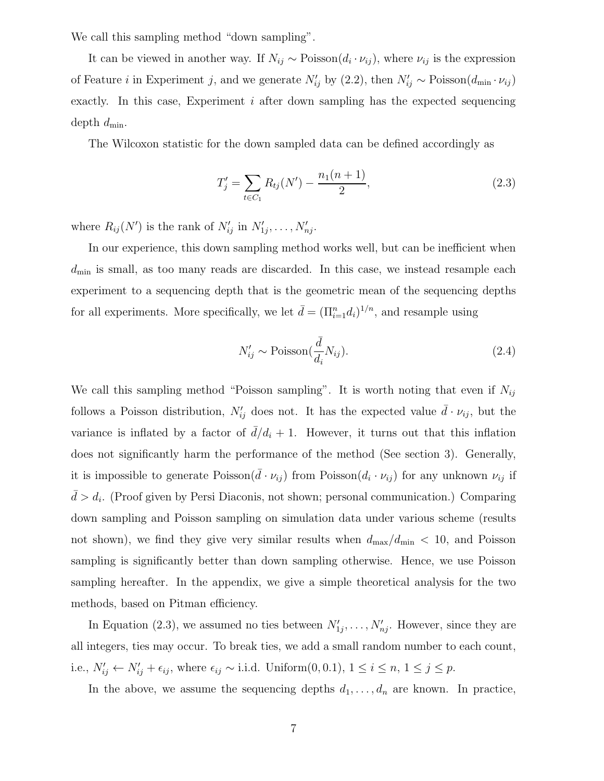We call this sampling method "down sampling".

It can be viewed in another way. If  $N_{ij} \sim \text{Poisson}(d_i \cdot \nu_{ij})$ , where  $\nu_{ij}$  is the expression of Feature *i* in Experiment j, and we generate  $N'_{ij}$  by (2.2), then  $N'_{ij} \sim \text{Poisson}(d_{\text{min}} \cdot \nu_{ij})$ exactly. In this case, Experiment i after down sampling has the expected sequencing depth  $d_{\min}$ .

The Wilcoxon statistic for the down sampled data can be defined accordingly as

$$
T'_{j} = \sum_{t \in C_{1}} R_{tj}(N') - \frac{n_{1}(n+1)}{2}, \qquad (2.3)
$$

where  $R_{ij}(N')$  is the rank of  $N'_{ij}$  in  $N'_{1j}, \ldots, N'_{nj}$ .

In our experience, this down sampling method works well, but can be inefficient when  $d_{\min}$  is small, as too many reads are discarded. In this case, we instead resample each experiment to a sequencing depth that is the geometric mean of the sequencing depths for all experiments. More specifically, we let  $\bar{d} = (\prod_{i=1}^n d_i)^{1/n}$ , and resample using

$$
N'_{ij} \sim \text{Poisson}(\frac{\bar{d}}{d_i} N_{ij}).\tag{2.4}
$$

We call this sampling method "Poisson sampling". It is worth noting that even if  $N_{ij}$ follows a Poisson distribution,  $N'_{ij}$  does not. It has the expected value  $\bar{d} \cdot \nu_{ij}$ , but the variance is inflated by a factor of  $d/d_i + 1$ . However, it turns out that this inflation does not significantly harm the performance of the method (See section 3). Generally, it is impossible to generate  $Poisson(\bar{d} \cdot \nu_{ij})$  from  $Poisson(d_i \cdot \nu_{ij})$  for any unknown  $\nu_{ij}$  if  $\bar{d} > d_i$ . (Proof given by Persi Diaconis, not shown; personal communication.) Comparing down sampling and Poisson sampling on simulation data under various scheme (results not shown), we find they give very similar results when  $d_{\text{max}}/d_{\text{min}} < 10$ , and Poisson sampling is significantly better than down sampling otherwise. Hence, we use Poisson sampling hereafter. In the appendix, we give a simple theoretical analysis for the two methods, based on Pitman efficiency.

In Equation (2.3), we assumed no ties between  $N'_{1j}, \ldots, N'_{nj}$ . However, since they are all integers, ties may occur. To break ties, we add a small random number to each count, i.e.,  $N'_{ij} \leftarrow N'_{ij} + \epsilon_{ij}$ , where  $\epsilon_{ij} \sim$  i.i.d. Uniform(0,0.1),  $1 \le i \le n$ ,  $1 \le j \le p$ .

In the above, we assume the sequencing depths  $d_1, \ldots, d_n$  are known. In practice,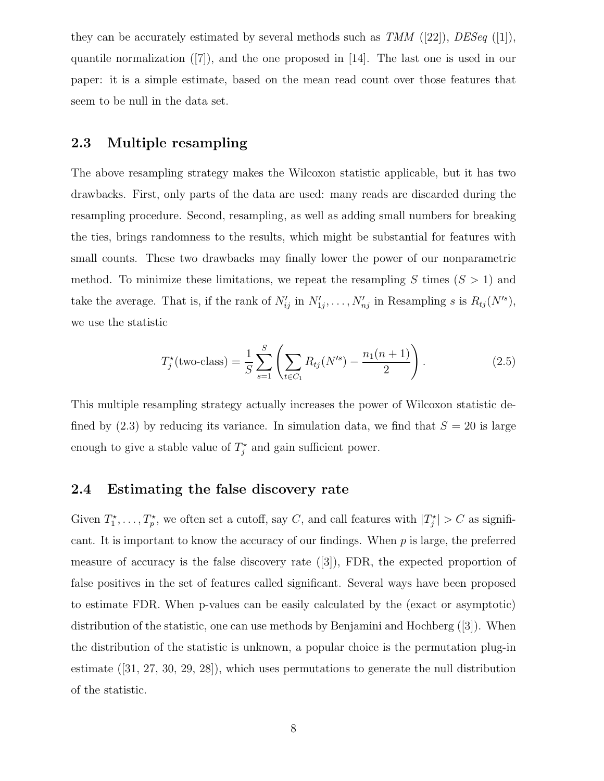they can be accurately estimated by several methods such as  $TMM$  ([22]),  $DESeq$  ([1]), quantile normalization  $([7])$ , and the one proposed in [14]. The last one is used in our paper: it is a simple estimate, based on the mean read count over those features that seem to be null in the data set.

## 2.3 Multiple resampling

The above resampling strategy makes the Wilcoxon statistic applicable, but it has two drawbacks. First, only parts of the data are used: many reads are discarded during the resampling procedure. Second, resampling, as well as adding small numbers for breaking the ties, brings randomness to the results, which might be substantial for features with small counts. These two drawbacks may finally lower the power of our nonparametric method. To minimize these limitations, we repeat the resampling S times  $(S > 1)$  and take the average. That is, if the rank of  $N'_{ij}$  in  $N'_{1j}, \ldots, N'_{nj}$  in Resampling s is  $R_{tj}(N'^s)$ , we use the statistic

$$
T_j^{\star}(\text{two-class}) = \frac{1}{S} \sum_{s=1}^{S} \left( \sum_{t \in C_1} R_{tj}(N^{\prime s}) - \frac{n_1(n+1)}{2} \right).
$$
 (2.5)

This multiple resampling strategy actually increases the power of Wilcoxon statistic defined by  $(2.3)$  by reducing its variance. In simulation data, we find that  $S = 20$  is large enough to give a stable value of  $T_j^*$  and gain sufficient power.

#### 2.4 Estimating the false discovery rate

Given  $T_1^*, \ldots, T_p^*$ , we often set a cutoff, say C, and call features with  $|T_j^*| > C$  as significant. It is important to know the accuracy of our findings. When p is large, the preferred measure of accuracy is the false discovery rate  $([3])$ , FDR, the expected proportion of false positives in the set of features called significant. Several ways have been proposed to estimate FDR. When p-values can be easily calculated by the (exact or asymptotic) distribution of the statistic, one can use methods by Benjamini and Hochberg ([3]). When the distribution of the statistic is unknown, a popular choice is the permutation plug-in estimate ([31, 27, 30, 29, 28]), which uses permutations to generate the null distribution of the statistic.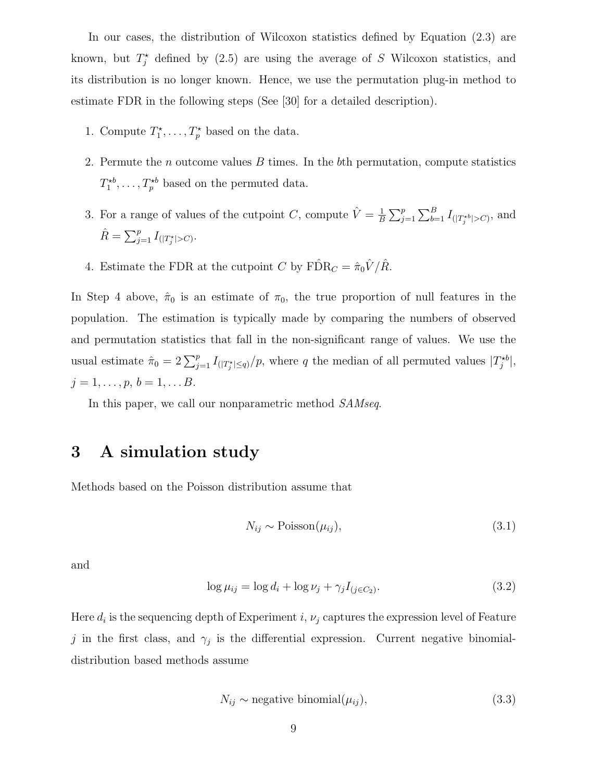In our cases, the distribution of Wilcoxon statistics defined by Equation (2.3) are known, but  $T_j^*$  defined by (2.5) are using the average of S Wilcoxon statistics, and its distribution is no longer known. Hence, we use the permutation plug-in method to estimate FDR in the following steps (See [30] for a detailed description).

- 1. Compute  $T_1^*, \ldots, T_p^*$  based on the data.
- 2. Permute the  $n$  outcome values  $B$  times. In the  $b$ th permutation, compute statistics  $T_1^{*b}, \ldots, T_p^{*b}$  based on the permuted data.
- 3. For a range of values of the cutpoint C, compute  $\hat{V} = \frac{1}{E}$  $\frac{1}{B} \sum_{j=1}^{p} \sum_{b=1}^{B} I_{(|T_j^{*b}|>C)}$ , and  $\hat{R} = \sum_{j=1}^{p} I_{\left(|T_j^{\star}|>C\right)}$ .
- 4. Estimate the FDR at the cutpoint C by  $\widehat{\text{FDR}}_C = \hat{\pi}_0 \hat{V} / \hat{R}$ .

In Step 4 above,  $\hat{\pi}_0$  is an estimate of  $\pi_0$ , the true proportion of null features in the population. The estimation is typically made by comparing the numbers of observed and permutation statistics that fall in the non-significant range of values. We use the usual estimate  $\hat{\pi}_0 = 2 \sum_{j=1}^p I_{(|T_j^*| \le q)} / p$ , where q the median of all permuted values  $|T_j^{*b}|$ ,  $j = 1, \ldots, p, b = 1, \ldots B.$ 

In this paper, we call our nonparametric method SAMseq.

## 3 A simulation study

Methods based on the Poisson distribution assume that

$$
N_{ij} \sim \text{Poisson}(\mu_{ij}),\tag{3.1}
$$

and

$$
\log \mu_{ij} = \log d_i + \log \nu_j + \gamma_j I_{(j \in C_2)}.\tag{3.2}
$$

Here  $d_i$  is the sequencing depth of Experiment i,  $\nu_j$  captures the expression level of Feature j in the first class, and  $\gamma_j$  is the differential expression. Current negative binomialdistribution based methods assume

$$
N_{ij} \sim \text{negative binomial}(\mu_{ij}),\tag{3.3}
$$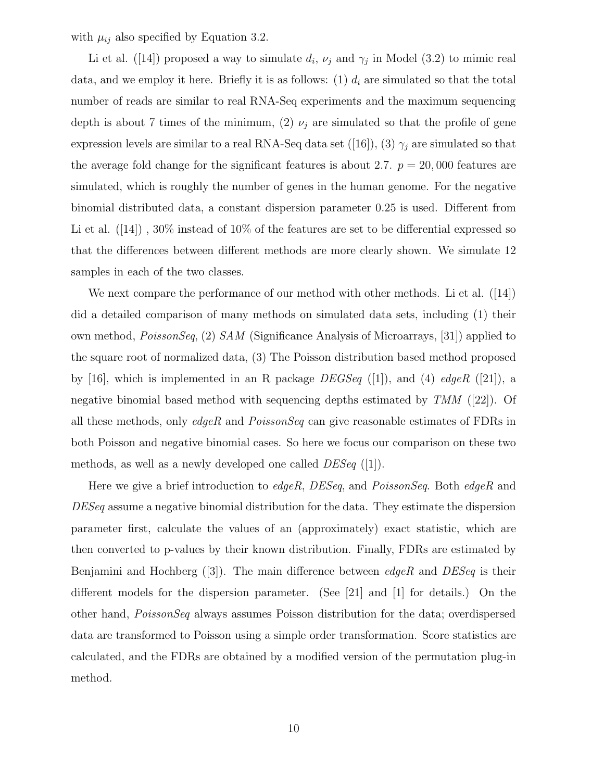with  $\mu_{ij}$  also specified by Equation 3.2.

Li et al. ([14]) proposed a way to simulate  $d_i$ ,  $\nu_j$  and  $\gamma_j$  in Model (3.2) to mimic real data, and we employ it here. Briefly it is as follows:  $(1)$   $d_i$  are simulated so that the total number of reads are similar to real RNA-Seq experiments and the maximum sequencing depth is about 7 times of the minimum, (2)  $\nu_j$  are simulated so that the profile of gene expression levels are similar to a real RNA-Seq data set ([16]), (3)  $\gamma_j$  are simulated so that the average fold change for the significant features is about 2.7.  $p = 20,000$  features are simulated, which is roughly the number of genes in the human genome. For the negative binomial distributed data, a constant dispersion parameter 0.25 is used. Different from Li et al.  $([14])$ ,  $30\%$  instead of  $10\%$  of the features are set to be differential expressed so that the differences between different methods are more clearly shown. We simulate 12 samples in each of the two classes.

We next compare the performance of our method with other methods. Li et al. ([14]) did a detailed comparison of many methods on simulated data sets, including (1) their own method, PoissonSeq, (2) SAM (Significance Analysis of Microarrays, [31]) applied to the square root of normalized data, (3) The Poisson distribution based method proposed by [16], which is implemented in an R package  $DEGSeq$  ([1]), and (4)  $edge R$  ([21]), a negative binomial based method with sequencing depths estimated by TMM ([22]). Of all these methods, only  $edgeR$  and  $PoissonSeq$  can give reasonable estimates of FDRs in both Poisson and negative binomial cases. So here we focus our comparison on these two methods, as well as a newly developed one called  $DESeq$  ([1]).

Here we give a brief introduction to *edgeR*,  $DESeq$ , and  $PoissonSeq$ . Both *edgeR* and DESeq assume a negative binomial distribution for the data. They estimate the dispersion parameter first, calculate the values of an (approximately) exact statistic, which are then converted to p-values by their known distribution. Finally, FDRs are estimated by Benjamini and Hochberg  $([3])$ . The main difference between *edgeR* and *DESeq* is their different models for the dispersion parameter. (See [21] and [1] for details.) On the other hand, PoissonSeq always assumes Poisson distribution for the data; overdispersed data are transformed to Poisson using a simple order transformation. Score statistics are calculated, and the FDRs are obtained by a modified version of the permutation plug-in method.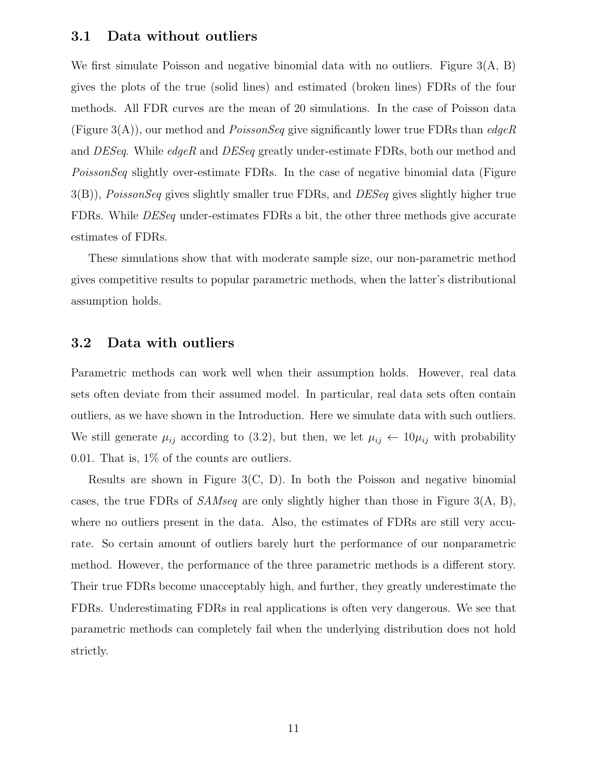#### 3.1 Data without outliers

We first simulate Poisson and negative binomial data with no outliers. Figure 3(A, B) gives the plots of the true (solid lines) and estimated (broken lines) FDRs of the four methods. All FDR curves are the mean of 20 simulations. In the case of Poisson data (Figure 3(A)), our method and *PoissonSeq* give significantly lower true FDRs than *edgeR* and DESeq. While edgeR and DESeq greatly under-estimate FDRs, both our method and PoissonSeq slightly over-estimate FDRs. In the case of negative binomial data (Figure  $3(B)$ ), PoissonSeq gives slightly smaller true FDRs, and DESeq gives slightly higher true FDRs. While DESeq under-estimates FDRs a bit, the other three methods give accurate estimates of FDRs.

These simulations show that with moderate sample size, our non-parametric method gives competitive results to popular parametric methods, when the latter's distributional assumption holds.

## 3.2 Data with outliers

Parametric methods can work well when their assumption holds. However, real data sets often deviate from their assumed model. In particular, real data sets often contain outliers, as we have shown in the Introduction. Here we simulate data with such outliers. We still generate  $\mu_{ij}$  according to (3.2), but then, we let  $\mu_{ij} \leftarrow 10\mu_{ij}$  with probability 0.01. That is, 1% of the counts are outliers.

Results are shown in Figure 3(C, D). In both the Poisson and negative binomial cases, the true FDRs of  $SAMseq$  are only slightly higher than those in Figure 3(A, B), where no outliers present in the data. Also, the estimates of FDRs are still very accurate. So certain amount of outliers barely hurt the performance of our nonparametric method. However, the performance of the three parametric methods is a different story. Their true FDRs become unacceptably high, and further, they greatly underestimate the FDRs. Underestimating FDRs in real applications is often very dangerous. We see that parametric methods can completely fail when the underlying distribution does not hold strictly.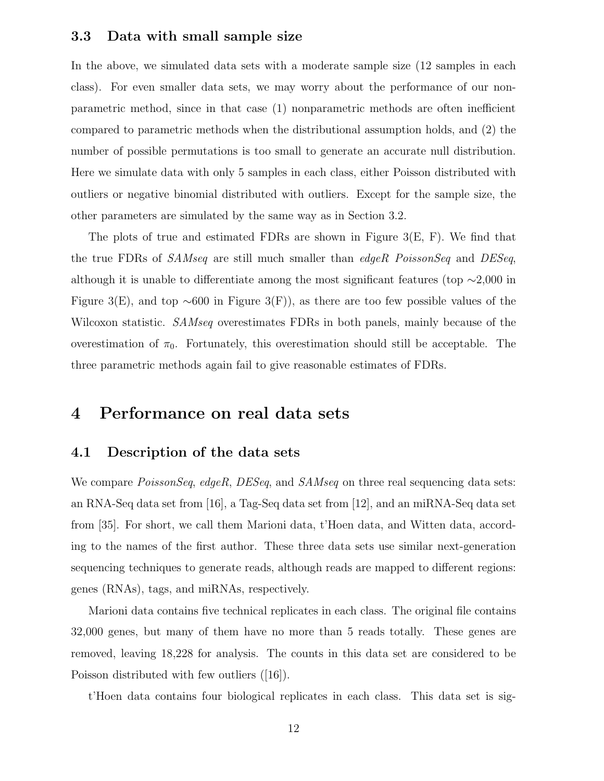#### 3.3 Data with small sample size

In the above, we simulated data sets with a moderate sample size (12 samples in each class). For even smaller data sets, we may worry about the performance of our nonparametric method, since in that case (1) nonparametric methods are often inefficient compared to parametric methods when the distributional assumption holds, and (2) the number of possible permutations is too small to generate an accurate null distribution. Here we simulate data with only 5 samples in each class, either Poisson distributed with outliers or negative binomial distributed with outliers. Except for the sample size, the other parameters are simulated by the same way as in Section 3.2.

The plots of true and estimated FDRs are shown in Figure 3(E, F). We find that the true FDRs of SAMseq are still much smaller than edgeR PoissonSeq and DESeq, although it is unable to differentiate among the most significant features (top  $\sim$ 2,000 in Figure 3(E), and top  $\sim 600$  in Figure 3(F)), as there are too few possible values of the Wilcoxon statistic. *SAMseq* overestimates FDRs in both panels, mainly because of the overestimation of  $\pi_0$ . Fortunately, this overestimation should still be acceptable. The three parametric methods again fail to give reasonable estimates of FDRs.

## 4 Performance on real data sets

## 4.1 Description of the data sets

We compare *PoissonSeq, edgeR, DESeq,* and *SAMseq* on three real sequencing data sets: an RNA-Seq data set from [16], a Tag-Seq data set from [12], and an miRNA-Seq data set from [35]. For short, we call them Marioni data, t'Hoen data, and Witten data, according to the names of the first author. These three data sets use similar next-generation sequencing techniques to generate reads, although reads are mapped to different regions: genes (RNAs), tags, and miRNAs, respectively.

Marioni data contains five technical replicates in each class. The original file contains 32,000 genes, but many of them have no more than 5 reads totally. These genes are removed, leaving 18,228 for analysis. The counts in this data set are considered to be Poisson distributed with few outliers ([16]).

t'Hoen data contains four biological replicates in each class. This data set is sig-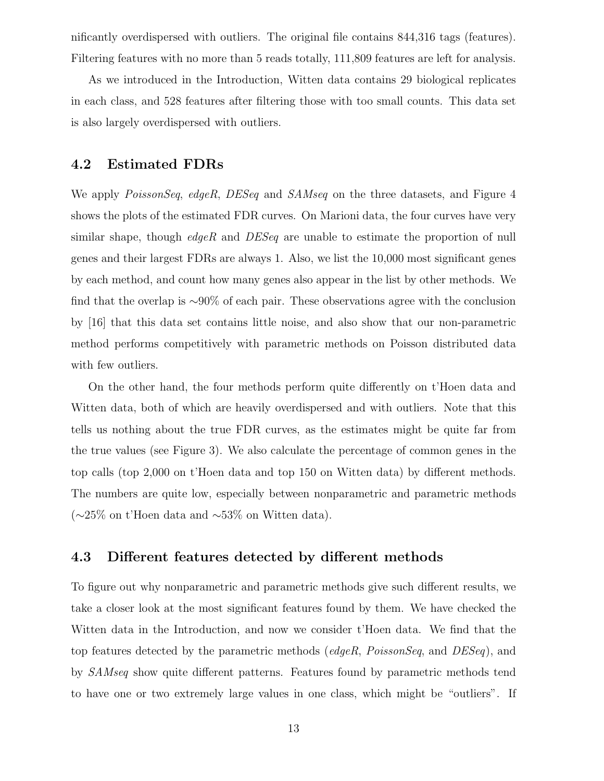nificantly overdispersed with outliers. The original file contains 844,316 tags (features). Filtering features with no more than 5 reads totally, 111,809 features are left for analysis.

As we introduced in the Introduction, Witten data contains 29 biological replicates in each class, and 528 features after filtering those with too small counts. This data set is also largely overdispersed with outliers.

#### 4.2 Estimated FDRs

We apply *PoissonSeq, edgeR, DESeq and SAMseq on the three datasets, and Figure 4* shows the plots of the estimated FDR curves. On Marioni data, the four curves have very similar shape, though *edgeR* and  $DESeq$  are unable to estimate the proportion of null genes and their largest FDRs are always 1. Also, we list the 10,000 most significant genes by each method, and count how many genes also appear in the list by other methods. We find that the overlap is ∼90% of each pair. These observations agree with the conclusion by [16] that this data set contains little noise, and also show that our non-parametric method performs competitively with parametric methods on Poisson distributed data with few outliers.

On the other hand, the four methods perform quite differently on t'Hoen data and Witten data, both of which are heavily overdispersed and with outliers. Note that this tells us nothing about the true FDR curves, as the estimates might be quite far from the true values (see Figure 3). We also calculate the percentage of common genes in the top calls (top 2,000 on t'Hoen data and top 150 on Witten data) by different methods. The numbers are quite low, especially between nonparametric and parametric methods (∼25% on t'Hoen data and ∼53% on Witten data).

### 4.3 Different features detected by different methods

To figure out why nonparametric and parametric methods give such different results, we take a closer look at the most significant features found by them. We have checked the Witten data in the Introduction, and now we consider t'Hoen data. We find that the top features detected by the parametric methods (edgeR, PoissonSeq, and DESeq), and by SAMseq show quite different patterns. Features found by parametric methods tend to have one or two extremely large values in one class, which might be "outliers". If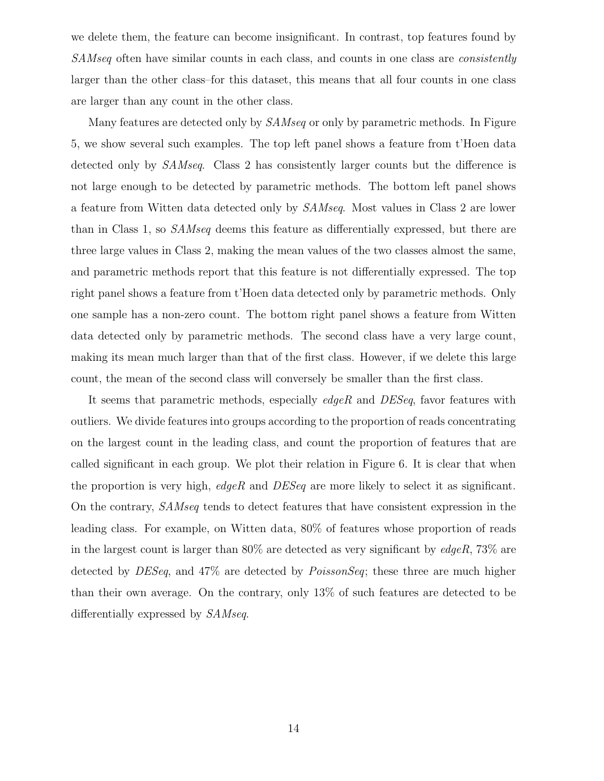we delete them, the feature can become insignificant. In contrast, top features found by SAMseq often have similar counts in each class, and counts in one class are *consistently* larger than the other class–for this dataset, this means that all four counts in one class are larger than any count in the other class.

Many features are detected only by *SAMseq* or only by parametric methods. In Figure 5, we show several such examples. The top left panel shows a feature from t'Hoen data detected only by *SAMseq*. Class 2 has consistently larger counts but the difference is not large enough to be detected by parametric methods. The bottom left panel shows a feature from Witten data detected only by SAMseq. Most values in Class 2 are lower than in Class 1, so SAMseq deems this feature as differentially expressed, but there are three large values in Class 2, making the mean values of the two classes almost the same, and parametric methods report that this feature is not differentially expressed. The top right panel shows a feature from t'Hoen data detected only by parametric methods. Only one sample has a non-zero count. The bottom right panel shows a feature from Witten data detected only by parametric methods. The second class have a very large count, making its mean much larger than that of the first class. However, if we delete this large count, the mean of the second class will conversely be smaller than the first class.

It seems that parametric methods, especially edgeR and DESeq, favor features with outliers. We divide features into groups according to the proportion of reads concentrating on the largest count in the leading class, and count the proportion of features that are called significant in each group. We plot their relation in Figure 6. It is clear that when the proportion is very high,  $edge$  and  $DESeq$  are more likely to select it as significant. On the contrary, SAMseq tends to detect features that have consistent expression in the leading class. For example, on Witten data, 80% of features whose proportion of reads in the largest count is larger than  $80\%$  are detected as very significant by *edgeR*,  $73\%$  are detected by *DESeq*, and 47% are detected by *PoissonSeq*; these three are much higher than their own average. On the contrary, only 13% of such features are detected to be differentially expressed by SAMseq.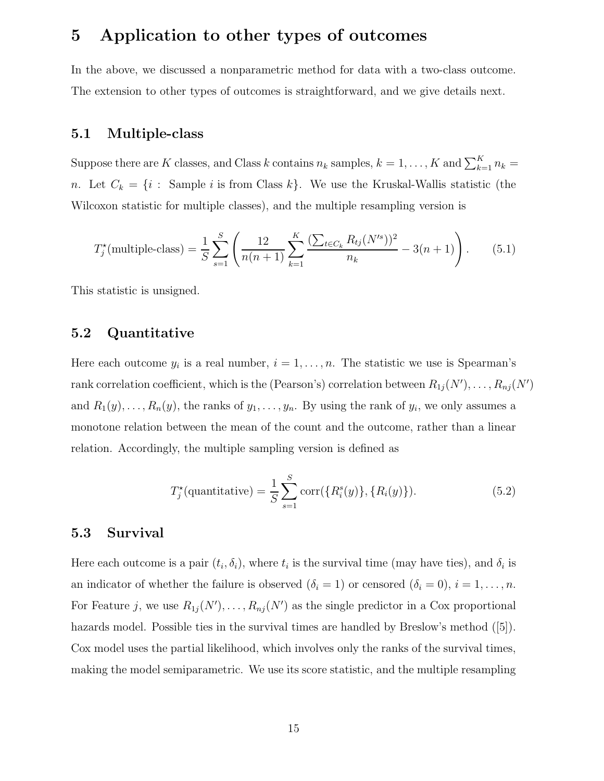## 5 Application to other types of outcomes

In the above, we discussed a nonparametric method for data with a two-class outcome. The extension to other types of outcomes is straightforward, and we give details next.

#### 5.1 Multiple-class

Suppose there are K classes, and Class k contains  $n_k$  samples,  $k = 1, ..., K$  and  $\sum_{k=1}^{K} n_k =$ n. Let  $C_k = \{i : \text{Sample } i \text{ is from Class } k\}.$  We use the Kruskal-Wallis statistic (the Wilcoxon statistic for multiple classes), and the multiple resampling version is

$$
T_j^{\star}(\text{multiple-class}) = \frac{1}{S} \sum_{s=1}^{S} \left( \frac{12}{n(n+1)} \sum_{k=1}^{K} \frac{\left(\sum_{t \in C_k} R_{tj}(N^{\prime s})\right)^2}{n_k} - 3(n+1) \right). \tag{5.1}
$$

This statistic is unsigned.

#### 5.2 Quantitative

Here each outcome  $y_i$  is a real number,  $i = 1, \ldots, n$ . The statistic we use is Spearman's rank correlation coefficient, which is the (Pearson's) correlation between  $R_{1j}(N'), \ldots, R_{nj}(N')$ and  $R_1(y), \ldots, R_n(y)$ , the ranks of  $y_1, \ldots, y_n$ . By using the rank of  $y_i$ , we only assumes a monotone relation between the mean of the count and the outcome, rather than a linear relation. Accordingly, the multiple sampling version is defined as

$$
T_j^{\star}(\text{quantitative}) = \frac{1}{S} \sum_{s=1}^{S} \text{corr}(\{R_i^s(y)\}, \{R_i(y)\}).\tag{5.2}
$$

### 5.3 Survival

Here each outcome is a pair  $(t_i, \delta_i)$ , where  $t_i$  is the survival time (may have ties), and  $\delta_i$  is an indicator of whether the failure is observed  $(\delta_i = 1)$  or censored  $(\delta_i = 0), i = 1, \ldots, n$ . For Feature j, we use  $R_{1j}(N'), \ldots, R_{nj}(N')$  as the single predictor in a Cox proportional hazards model. Possible ties in the survival times are handled by Breslow's method  $([5])$ . Cox model uses the partial likelihood, which involves only the ranks of the survival times, making the model semiparametric. We use its score statistic, and the multiple resampling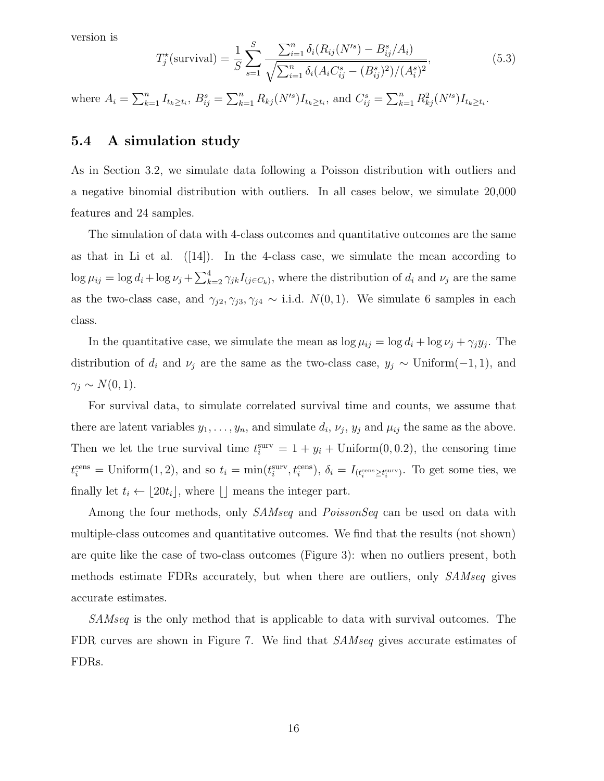version is

$$
T_j^{\star}(\text{survival}) = \frac{1}{S} \sum_{s=1}^{S} \frac{\sum_{i=1}^{n} \delta_i (R_{ij}(N^s) - B_{ij}^s / A_i)}{\sqrt{\sum_{i=1}^{n} \delta_i (A_i C_{ij}^s - (B_{ij}^s)^2) / (A_i^s)^2}},
$$
(5.3)

where  $A_i = \sum_{k=1}^n I_{t_k \ge t_i}$ ,  $B_{ij}^s = \sum_{k=1}^n R_{kj}(N'^s)I_{t_k \ge t_i}$ , and  $C_{ij}^s = \sum_{k=1}^n R_{kj}^2(N'^s)I_{t_k \ge t_i}$ .

#### 5.4 A simulation study

As in Section 3.2, we simulate data following a Poisson distribution with outliers and a negative binomial distribution with outliers. In all cases below, we simulate 20,000 features and 24 samples.

The simulation of data with 4-class outcomes and quantitative outcomes are the same as that in Li et al.  $([14])$ . In the 4-class case, we simulate the mean according to  $\log \mu_{ij} = \log d_i + \log \nu_j + \sum_{k=2}^4 \gamma_{jk} I_{(j \in C_k)}$ , where the distribution of  $d_i$  and  $\nu_j$  are the same as the two-class case, and  $\gamma_{j2}, \gamma_{j3}, \gamma_{j4} \sim$  i.i.d.  $N(0, 1)$ . We simulate 6 samples in each class.

In the quantitative case, we simulate the mean as  $\log \mu_{ij} = \log d_i + \log \nu_j + \gamma_j y_j$ . The distribution of  $d_i$  and  $\nu_j$  are the same as the two-class case,  $y_j \sim$  Uniform(-1, 1), and  $\gamma_j \sim N(0, 1).$ 

For survival data, to simulate correlated survival time and counts, we assume that there are latent variables  $y_1, \ldots, y_n$ , and simulate  $d_i$ ,  $\nu_j$ ,  $y_j$  and  $\mu_{ij}$  the same as the above. Then we let the true survival time  $t_i^{\text{surv}} = 1 + y_i + \text{Uniform}(0, 0.2)$ , the censoring time  $t_i^{\text{cens}} = \text{Uniform}(1, 2)$ , and so  $t_i = \min(t_i^{\text{surv}}, t_i^{\text{cens}})$ ,  $\delta_i = I_{(t_i^{\text{cens}} \ge t_i^{\text{surv}})}$ . To get some ties, we finally let  $t_i \leftarrow \lfloor 20t_i \rfloor$ , where  $\lfloor \rfloor$  means the integer part.

Among the four methods, only *SAMseq* and *PoissonSeq* can be used on data with multiple-class outcomes and quantitative outcomes. We find that the results (not shown) are quite like the case of two-class outcomes (Figure 3): when no outliers present, both methods estimate FDRs accurately, but when there are outliers, only SAMseq gives accurate estimates.

SAMseq is the only method that is applicable to data with survival outcomes. The FDR curves are shown in Figure 7. We find that *SAMseq* gives accurate estimates of FDRs.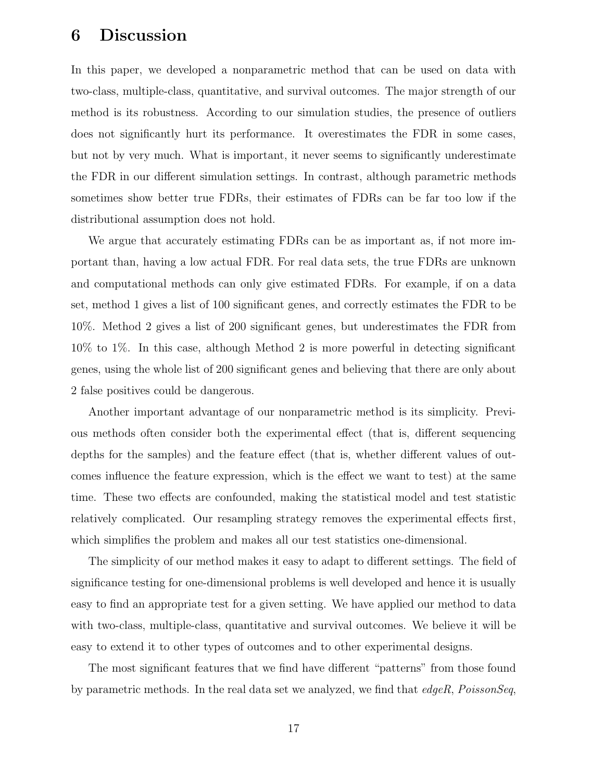## 6 Discussion

In this paper, we developed a nonparametric method that can be used on data with two-class, multiple-class, quantitative, and survival outcomes. The major strength of our method is its robustness. According to our simulation studies, the presence of outliers does not significantly hurt its performance. It overestimates the FDR in some cases, but not by very much. What is important, it never seems to significantly underestimate the FDR in our different simulation settings. In contrast, although parametric methods sometimes show better true FDRs, their estimates of FDRs can be far too low if the distributional assumption does not hold.

We argue that accurately estimating FDRs can be as important as, if not more important than, having a low actual FDR. For real data sets, the true FDRs are unknown and computational methods can only give estimated FDRs. For example, if on a data set, method 1 gives a list of 100 significant genes, and correctly estimates the FDR to be 10%. Method 2 gives a list of 200 significant genes, but underestimates the FDR from 10% to 1%. In this case, although Method 2 is more powerful in detecting significant genes, using the whole list of 200 significant genes and believing that there are only about 2 false positives could be dangerous.

Another important advantage of our nonparametric method is its simplicity. Previous methods often consider both the experimental effect (that is, different sequencing depths for the samples) and the feature effect (that is, whether different values of outcomes influence the feature expression, which is the effect we want to test) at the same time. These two effects are confounded, making the statistical model and test statistic relatively complicated. Our resampling strategy removes the experimental effects first, which simplifies the problem and makes all our test statistics one-dimensional.

The simplicity of our method makes it easy to adapt to different settings. The field of significance testing for one-dimensional problems is well developed and hence it is usually easy to find an appropriate test for a given setting. We have applied our method to data with two-class, multiple-class, quantitative and survival outcomes. We believe it will be easy to extend it to other types of outcomes and to other experimental designs.

The most significant features that we find have different "patterns" from those found by parametric methods. In the real data set we analyzed, we find that  $edgeR$ , PoissonSeq,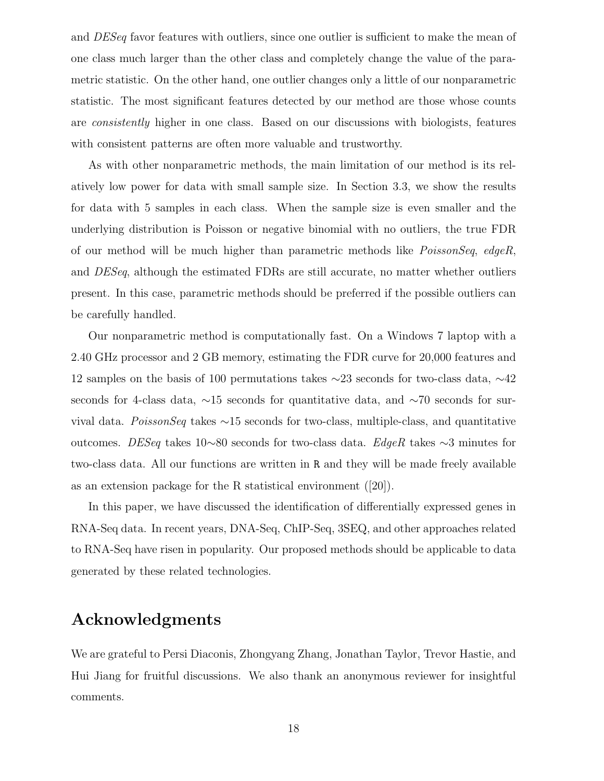and DESeq favor features with outliers, since one outlier is sufficient to make the mean of one class much larger than the other class and completely change the value of the parametric statistic. On the other hand, one outlier changes only a little of our nonparametric statistic. The most significant features detected by our method are those whose counts are consistently higher in one class. Based on our discussions with biologists, features with consistent patterns are often more valuable and trustworthy.

As with other nonparametric methods, the main limitation of our method is its relatively low power for data with small sample size. In Section 3.3, we show the results for data with 5 samples in each class. When the sample size is even smaller and the underlying distribution is Poisson or negative binomial with no outliers, the true FDR of our method will be much higher than parametric methods like PoissonSeq, edgeR, and DESeq, although the estimated FDRs are still accurate, no matter whether outliers present. In this case, parametric methods should be preferred if the possible outliers can be carefully handled.

Our nonparametric method is computationally fast. On a Windows 7 laptop with a 2.40 GHz processor and 2 GB memory, estimating the FDR curve for 20,000 features and 12 samples on the basis of 100 permutations takes ∼23 seconds for two-class data, ∼42 seconds for 4-class data, ∼15 seconds for quantitative data, and ∼70 seconds for survival data. PoissonSeq takes ∼15 seconds for two-class, multiple-class, and quantitative outcomes. DESeq takes 10∼80 seconds for two-class data. EdgeR takes ∼3 minutes for two-class data. All our functions are written in R and they will be made freely available as an extension package for the R statistical environment ([20]).

In this paper, we have discussed the identification of differentially expressed genes in RNA-Seq data. In recent years, DNA-Seq, ChIP-Seq, 3SEQ, and other approaches related to RNA-Seq have risen in popularity. Our proposed methods should be applicable to data generated by these related technologies.

## Acknowledgments

We are grateful to Persi Diaconis, Zhongyang Zhang, Jonathan Taylor, Trevor Hastie, and Hui Jiang for fruitful discussions. We also thank an anonymous reviewer for insightful comments.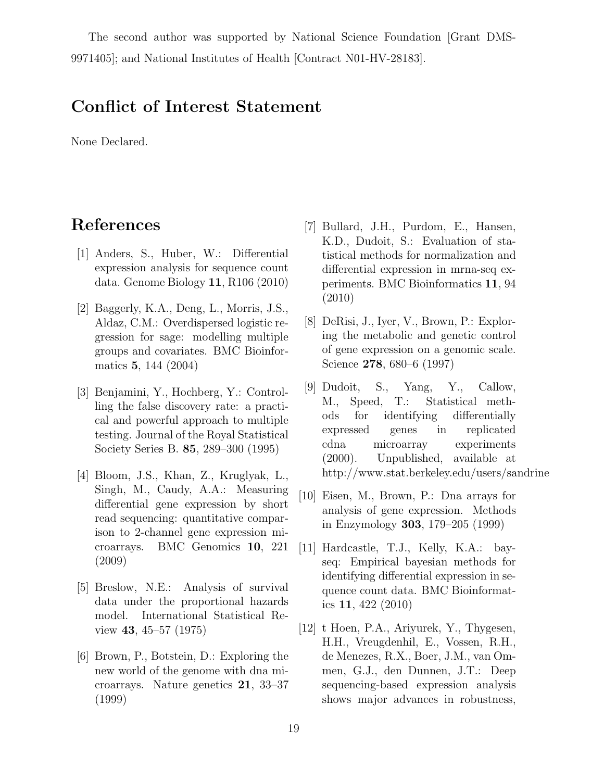The second author was supported by National Science Foundation [Grant DMS-9971405]; and National Institutes of Health [Contract N01-HV-28183].

## Conflict of Interest Statement

None Declared.

# References

- [1] Anders, S., Huber, W.: Differential expression analysis for sequence count data. Genome Biology 11, R106 (2010)
- [2] Baggerly, K.A., Deng, L., Morris, J.S., Aldaz, C.M.: Overdispersed logistic regression for sage: modelling multiple groups and covariates. BMC Bioinformatics 5, 144 (2004)
- [3] Benjamini, Y., Hochberg, Y.: Controlling the false discovery rate: a practical and powerful approach to multiple testing. Journal of the Royal Statistical Society Series B. 85, 289–300 (1995)
- [4] Bloom, J.S., Khan, Z., Kruglyak, L., Singh, M., Caudy, A.A.: Measuring differential gene expression by short read sequencing: quantitative comparison to 2-channel gene expression microarrays. BMC Genomics 10, 221 (2009)
- [5] Breslow, N.E.: Analysis of survival data under the proportional hazards model. International Statistical Review 43, 45–57 (1975)
- [6] Brown, P., Botstein, D.: Exploring the new world of the genome with dna microarrays. Nature genetics 21, 33–37 (1999)
- [7] Bullard, J.H., Purdom, E., Hansen, K.D., Dudoit, S.: Evaluation of statistical methods for normalization and differential expression in mrna-seq experiments. BMC Bioinformatics 11, 94 (2010)
- [8] DeRisi, J., Iyer, V., Brown, P.: Exploring the metabolic and genetic control of gene expression on a genomic scale. Science 278, 680–6 (1997)
- [9] Dudoit, S., Yang, Y., Callow, M., Speed, T.: Statistical methods for identifying differentially expressed genes in replicated cdna microarray experiments (2000). Unpublished, available at http://www.stat.berkeley.edu/users/sandrine
- [10] Eisen, M., Brown, P.: Dna arrays for analysis of gene expression. Methods in Enzymology 303, 179–205 (1999)
- [11] Hardcastle, T.J., Kelly, K.A.: bayseq: Empirical bayesian methods for identifying differential expression in sequence count data. BMC Bioinformatics 11, 422 (2010)
- [12] t Hoen, P.A., Ariyurek, Y., Thygesen, H.H., Vreugdenhil, E., Vossen, R.H., de Menezes, R.X., Boer, J.M., van Ommen, G.J., den Dunnen, J.T.: Deep sequencing-based expression analysis shows major advances in robustness,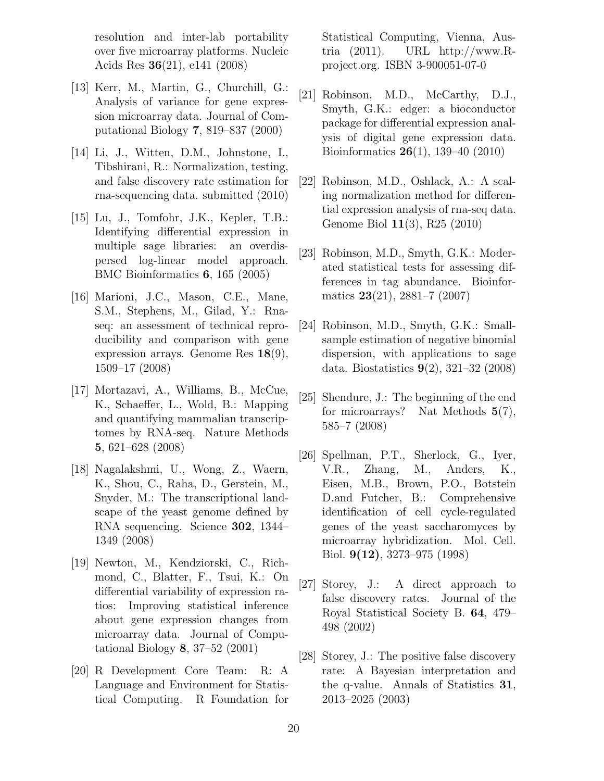resolution and inter-lab portability over five microarray platforms. Nucleic Acids Res 36(21), e141 (2008)

- [13] Kerr, M., Martin, G., Churchill, G.: Analysis of variance for gene expression microarray data. Journal of Computational Biology 7, 819–837 (2000)
- [14] Li, J., Witten, D.M., Johnstone, I., Tibshirani, R.: Normalization, testing, and false discovery rate estimation for rna-sequencing data. submitted (2010)
- [15] Lu, J., Tomfohr, J.K., Kepler, T.B.: Identifying differential expression in multiple sage libraries: an overdispersed log-linear model approach. BMC Bioinformatics 6, 165 (2005)
- [16] Marioni, J.C., Mason, C.E., Mane, S.M., Stephens, M., Gilad, Y.: Rnaseq: an assessment of technical reproducibility and comparison with gene expression arrays. Genome Res 18(9), 1509–17 (2008)
- [17] Mortazavi, A., Williams, B., McCue, K., Schaeffer, L., Wold, B.: Mapping and quantifying mammalian transcriptomes by RNA-seq. Nature Methods 5, 621–628 (2008)
- [18] Nagalakshmi, U., Wong, Z., Waern, K., Shou, C., Raha, D., Gerstein, M., Snyder, M.: The transcriptional landscape of the yeast genome defined by RNA sequencing. Science 302, 1344– 1349 (2008)
- [19] Newton, M., Kendziorski, C., Richmond, C., Blatter, F., Tsui, K.: On differential variability of expression ratios: Improving statistical inference about gene expression changes from microarray data. Journal of Computational Biology 8, 37–52 (2001)
- [20] R Development Core Team: R: A Language and Environment for Statistical Computing. R Foundation for

Statistical Computing, Vienna, Austria (2011). URL http://www.Rproject.org. ISBN 3-900051-07-0

- [21] Robinson, M.D., McCarthy, D.J., Smyth, G.K.: edger: a bioconductor package for differential expression analysis of digital gene expression data. Bioinformatics 26(1), 139–40 (2010)
- [22] Robinson, M.D., Oshlack, A.: A scaling normalization method for differential expression analysis of rna-seq data. Genome Biol 11(3), R25 (2010)
- [23] Robinson, M.D., Smyth, G.K.: Moderated statistical tests for assessing differences in tag abundance. Bioinformatics 23(21), 2881–7 (2007)
- [24] Robinson, M.D., Smyth, G.K.: Smallsample estimation of negative binomial dispersion, with applications to sage data. Biostatistics 9(2), 321–32 (2008)
- [25] Shendure, J.: The beginning of the end for microarrays? Nat Methods  $5(7)$ , 585–7 (2008)
- [26] Spellman, P.T., Sherlock, G., Iyer, V.R., Zhang, M., Anders, K., Eisen, M.B., Brown, P.O., Botstein D.and Futcher, B.: Comprehensive identification of cell cycle-regulated genes of the yeast saccharomyces by microarray hybridization. Mol. Cell. Biol. 9(12), 3273–975 (1998)
- [27] Storey, J.: A direct approach to false discovery rates. Journal of the Royal Statistical Society B. 64, 479– 498 (2002)
- [28] Storey, J.: The positive false discovery rate: A Bayesian interpretation and the q-value. Annals of Statistics 31, 2013–2025 (2003)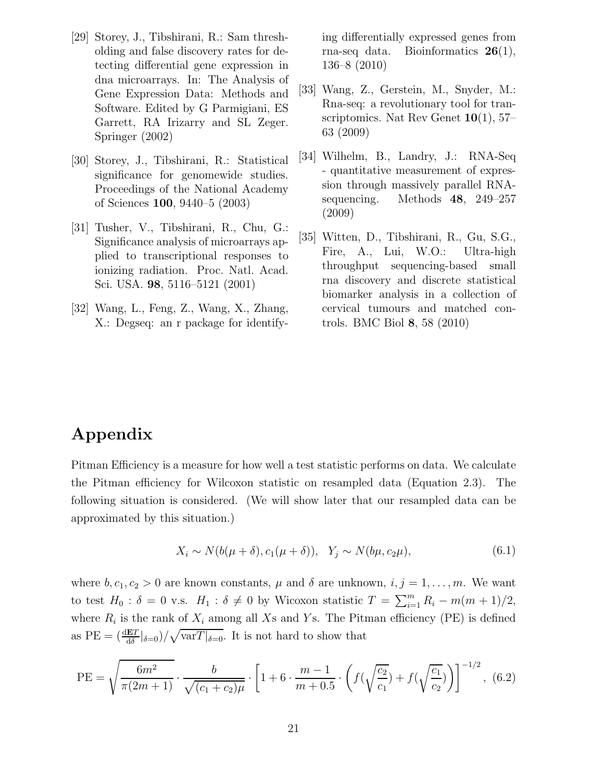- [29] Storey, J., Tibshirani, R.: Sam thresholding and false discovery rates for detecting differential gene expression in dna microarrays. In: The Analysis of Gene Expression Data: Methods and Software. Edited by G Parmigiani, ES Garrett, RA Irizarry and SL Zeger. Springer (2002)
- [30] Storey, J., Tibshirani, R.: Statistical significance for genomewide studies. Proceedings of the National Academy of Sciences 100, 9440–5 (2003)
- [31] Tusher, V., Tibshirani, R., Chu, G.: Significance analysis of microarrays applied to transcriptional responses to ionizing radiation. Proc. Natl. Acad. Sci. USA. 98, 5116–5121 (2001)
- [32] Wang, L., Feng, Z., Wang, X., Zhang, X.: Degseq: an r package for identify-

ing differentially expressed genes from rna-seq data. Bioinformatics 26(1), 136–8 (2010)

- [33] Wang, Z., Gerstein, M., Snyder, M.: Rna-seq: a revolutionary tool for transcriptomics. Nat Rev Genet  $10(1), 57-$ 63 (2009)
- [34] Wilhelm, B., Landry, J.: RNA-Seq - quantitative measurement of expression through massively parallel RNAsequencing. Methods 48, 249–257 (2009)
- [35] Witten, D., Tibshirani, R., Gu, S.G., Fire, A., Lui, W.O.: Ultra-high throughput sequencing-based small rna discovery and discrete statistical biomarker analysis in a collection of cervical tumours and matched controls. BMC Biol 8, 58 (2010)

# Appendix

Pitman Efficiency is a measure for how well a test statistic performs on data. We calculate the Pitman efficiency for Wilcoxon statistic on resampled data (Equation 2.3). The following situation is considered. (We will show later that our resampled data can be approximated by this situation.)

$$
X_i \sim N(b(\mu + \delta), c_1(\mu + \delta)), \quad Y_j \sim N(b\mu, c_2\mu), \tag{6.1}
$$

where  $b, c_1, c_2 > 0$  are known constants,  $\mu$  and  $\delta$  are unknown,  $i, j = 1, \ldots, m$ . We want to test  $H_0: \delta = 0$  v.s.  $H_1: \delta \neq 0$  by Wicoxon statistic  $T = \sum_{i=1}^m R_i - m(m+1)/2$ , where  $R_i$  is the rank of  $X_i$  among all Xs and Ys. The Pitman efficiency (PE) is defined as  $PE = \left(\frac{dET}{d\delta}|_{\delta=0}\right) / \sqrt{varT|_{\delta=0}}$ . It is not hard to show that

PE = 
$$
\sqrt{\frac{6m^2}{\pi(2m+1)}} \cdot \frac{b}{\sqrt{(c_1+c_2)\mu}} \cdot \left[1+6\cdot\frac{m-1}{m+0.5}\cdot\left(f(\sqrt{\frac{c_2}{c_1}})+f(\sqrt{\frac{c_1}{c_2}})\right)\right]^{-1/2},
$$
 (6.2)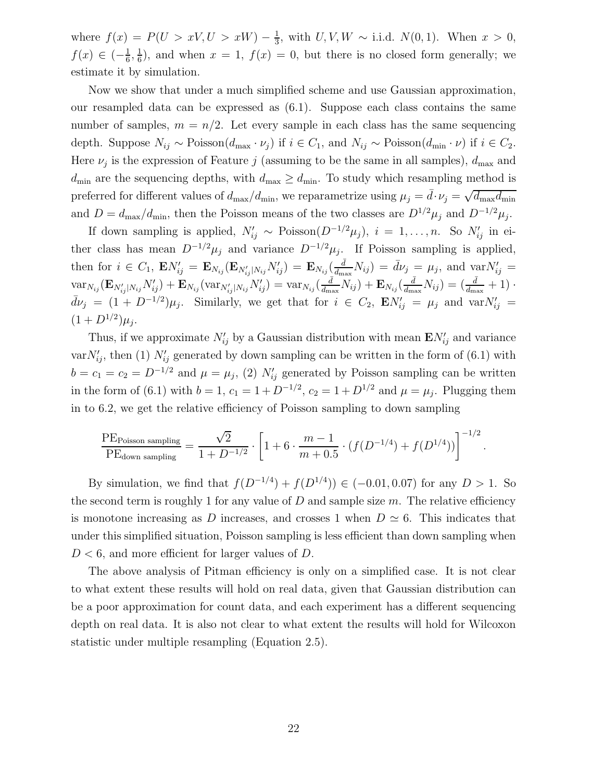where  $f(x) = P(U > xV, U > xW) - \frac{1}{3}$  $\frac{1}{3}$ , with  $U, V, W \sim$  i.i.d.  $N(0, 1)$ . When  $x > 0$ ,  $f(x) \in (-\frac{1}{6})$  $\frac{1}{6}, \frac{1}{6}$  $\frac{1}{6}$ , and when  $x = 1$ ,  $f(x) = 0$ , but there is no closed form generally; we estimate it by simulation.

Now we show that under a much simplified scheme and use Gaussian approximation, our resampled data can be expressed as (6.1). Suppose each class contains the same number of samples,  $m = n/2$ . Let every sample in each class has the same sequencing depth. Suppose  $N_{ij} \sim \text{Poisson}(d_{\text{max}} \cdot \nu_j)$  if  $i \in C_1$ , and  $N_{ij} \sim \text{Poisson}(d_{\text{min}} \cdot \nu)$  if  $i \in C_2$ . Here  $\nu_j$  is the expression of Feature j (assuming to be the same in all samples),  $d_{\text{max}}$  and  $d_{\min}$  are the sequencing depths, with  $d_{\max} \geq d_{\min}$ . To study which resampling method is preferred for different values of  $d_{\text{max}}/d_{\text{min}}$ , we reparametrize using  $\mu_j = \bar{d} \cdot \nu_j = \sqrt{d_{\text{max}} d_{\text{min}}}$ and  $D = d_{\text{max}}/d_{\text{min}}$ , then the Poisson means of the two classes are  $D^{1/2}\mu_j$  and  $D^{-1/2}\mu_j$ .

If down sampling is applied,  $N'_{ij} \sim \text{Poisson}(D^{-1/2}\mu_j)$ ,  $i = 1, ..., n$ . So  $N'_{ij}$  in either class has mean  $D^{-1/2}\mu_j$  and variance  $D^{-1/2}\mu_j$ . If Poisson sampling is applied, then for  $i \in C_1$ ,  ${\bf E} N'_{ij} = {\bf E}_{N_{ij}} ({\bf E}_{N'_{ij}|N_{ij}} N'_{ij}) = {\bf E}_{N_{ij}} (\frac{\bar{d}}{d_{\text{max}}}$  $\frac{\bar{d}}{d_{\textrm{max}}}N_{ij}) = \bar{d}\nu_j = \mu_j, \textrm{ and } \textrm{var} N'_{ij} =$  $\text{var}_{N_{ij}}(\mathbf{E}_{N'_{ij}|N_{ij}}N'_{ij}) + \mathbf{E}_{N_{ij}}(\text{var}_{N'_{ij}|N_{ij}}N'_{ij}) = \text{var}_{N_{ij}}(\frac{\bar{d}}{d_{\text{max}}}$  $\frac{\bar{d}}{d_{\textrm{max}}}N_{ij}) + \mathbf{E}_{N_{ij}}(\frac{\bar{d}}{d_{\textrm{max}}}$  $\frac{\bar{d}}{d_{\textrm{max}}}N_{ij})=(\frac{\bar{d}}{d_{\textrm{max}}}+1)\cdot$  $\bar{d}\nu_j = (1 + D^{-1/2})\mu_j$ . Similarly, we get that for  $i \in C_2$ ,  $\mathbf{E} N'_{ij} = \mu_j$  and  $varN'_{ij} =$  $(1+D^{1/2})\mu_j.$ 

Thus, if we approximate  $N'_{ij}$  by a Gaussian distribution with mean  $\mathbf{E} N'_{ij}$  and variance var $N'_{ij}$ , then (1)  $N'_{ij}$  generated by down sampling can be written in the form of (6.1) with  $b = c_1 = c_2 = D^{-1/2}$  and  $\mu = \mu_j$ , (2)  $N'_{ij}$  generated by Poisson sampling can be written in the form of (6.1) with  $b = 1, c_1 = 1 + D^{-1/2}, c_2 = 1 + D^{1/2}$  and  $\mu = \mu_j$ . Plugging them in to 6.2, we get the relative efficiency of Poisson sampling to down sampling

$$
\frac{\mathrm{PE}_{\text{Poisson sampling}}}{\mathrm{PE}_{\text{down sampling}}} = \frac{\sqrt{2}}{1 + D^{-1/2}} \cdot \left[1 + 6 \cdot \frac{m-1}{m+0.5} \cdot (f(D^{-1/4}) + f(D^{1/4}))\right]^{-1/2}.
$$

By simulation, we find that  $f(D^{-1/4}) + f(D^{1/4}) \in (-0.01, 0.07)$  for any  $D > 1$ . So the second term is roughly 1 for any value of  $D$  and sample size  $m$ . The relative efficiency is monotone increasing as D increases, and crosses 1 when  $D \simeq 6$ . This indicates that under this simplified situation, Poisson sampling is less efficient than down sampling when  $D < 6$ , and more efficient for larger values of D.

The above analysis of Pitman efficiency is only on a simplified case. It is not clear to what extent these results will hold on real data, given that Gaussian distribution can be a poor approximation for count data, and each experiment has a different sequencing depth on real data. It is also not clear to what extent the results will hold for Wilcoxon statistic under multiple resampling (Equation 2.5).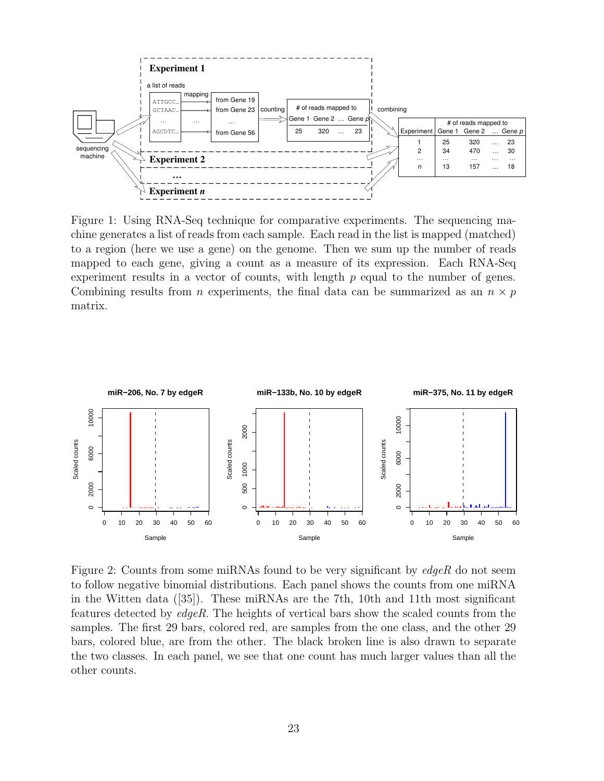

Figure 1: Using RNA-Seq technique for comparative experiments. The sequencing machine generates a list of reads from each sample. Each read in the list is mapped (matched) to a region (here we use a gene) on the genome. Then we sum up the number of reads mapped to each gene, giving a count as a measure of its expression. Each RNA-Seq experiment results in a vector of counts, with length p equal to the number of genes. Combining results from *n* experiments, the final data can be summarized as an  $n \times p$ matrix.



Figure 2: Counts from some miRNAs found to be very significant by edgeR do not seem to follow negative binomial distributions. Each panel shows the counts from one miRNA in the Witten data ([35]). These miRNAs are the 7th, 10th and 11th most significant features detected by edgeR. The heights of vertical bars show the scaled counts from the samples. The first 29 bars, colored red, are samples from the one class, and the other 29 bars, colored blue, are from the other. The black broken line is also drawn to separate the two classes. In each panel, we see that one count has much larger values than all the other counts.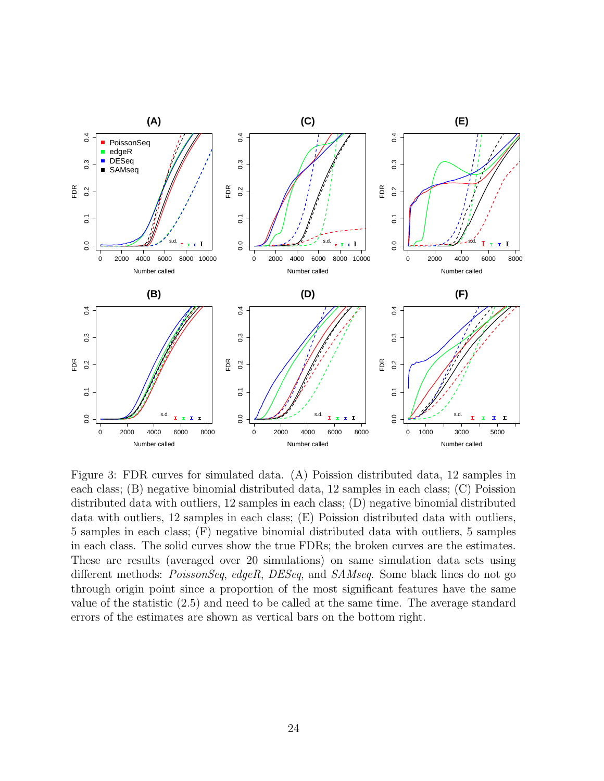

Figure 3: FDR curves for simulated data. (A) Poission distributed data, 12 samples in each class; (B) negative binomial distributed data, 12 samples in each class; (C) Poission distributed data with outliers, 12 samples in each class; (D) negative binomial distributed data with outliers, 12 samples in each class; (E) Poission distributed data with outliers, 5 samples in each class; (F) negative binomial distributed data with outliers, 5 samples in each class. The solid curves show the true FDRs; the broken curves are the estimates. These are results (averaged over 20 simulations) on same simulation data sets using different methods: *PoissonSeq, edgeR, DESeq,* and *SAMseq.* Some black lines do not go through origin point since a proportion of the most significant features have the same value of the statistic (2.5) and need to be called at the same time. The average standard errors of the estimates are shown as vertical bars on the bottom right.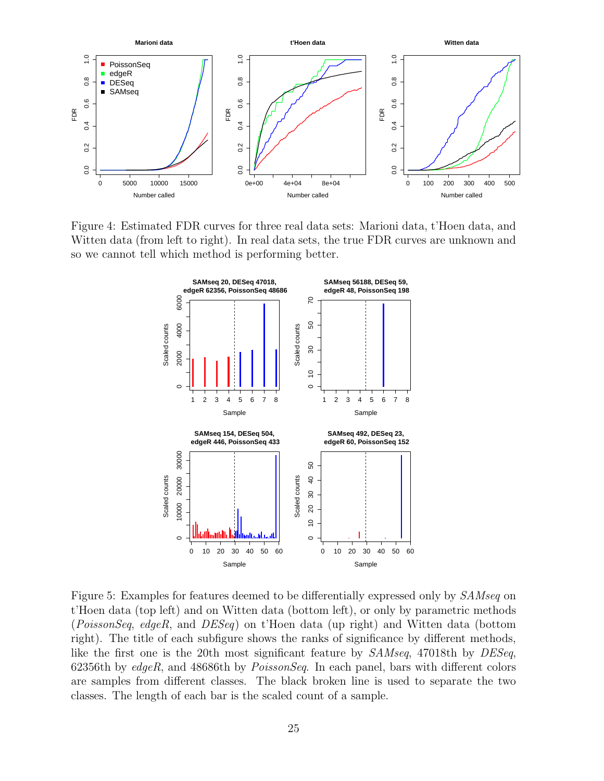

Figure 4: Estimated FDR curves for three real data sets: Marioni data, t'Hoen data, and Witten data (from left to right). In real data sets, the true FDR curves are unknown and so we cannot tell which method is performing better.



Figure 5: Examples for features deemed to be differentially expressed only by  $SAMseq$  on t'Hoen data (top left) and on Witten data (bottom left), or only by parametric methods (PoissonSeq, edgeR, and DESeq) on t'Hoen data (up right) and Witten data (bottom right). The title of each subfigure shows the ranks of significance by different methods, like the first one is the 20th most significant feature by SAMseq, 47018th by DESeq, 62356th by  $edge$ , and 48686th by  $PoissonSeq$ . In each panel, bars with different colors are samples from different classes. The black broken line is used to separate the two classes. The length of each bar is the scaled count of a sample.